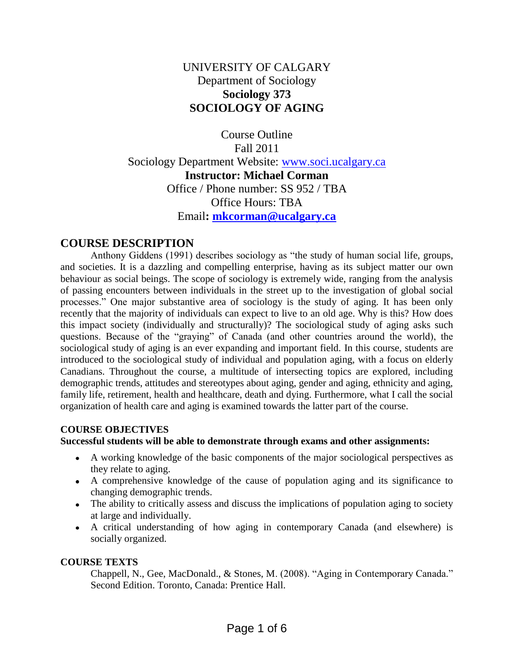# UNIVERSITY OF CALGARY Department of Sociology **Sociology 373 SOCIOLOGY OF AGING**

Course Outline Fall 2011 Sociology Department Website: [www.soci.ucalgary.ca](http://www.soci.ucalgary.ca/) **Instructor: Michael Corman** Office / Phone number: SS 952 / TBA Office Hours: TBA Email**: [mkcorman@ucalgary.ca](mailto:mkcorman@ucalgary.ca)** 

# **COURSE DESCRIPTION**

Anthony Giddens (1991) describes sociology as "the study of human social life, groups, and societies. It is a dazzling and compelling enterprise, having as its subject matter our own behaviour as social beings. The scope of sociology is extremely wide, ranging from the analysis of passing encounters between individuals in the street up to the investigation of global social processes." One major substantive area of sociology is the study of aging. It has been only recently that the majority of individuals can expect to live to an old age. Why is this? How does this impact society (individually and structurally)? The sociological study of aging asks such questions. Because of the "graying" of Canada (and other countries around the world), the sociological study of aging is an ever expanding and important field. In this course, students are introduced to the sociological study of individual and population aging, with a focus on elderly Canadians. Throughout the course, a multitude of intersecting topics are explored, including demographic trends, attitudes and stereotypes about aging, gender and aging, ethnicity and aging, family life, retirement, health and healthcare, death and dying. Furthermore, what I call the social organization of health care and aging is examined towards the latter part of the course.

## **COURSE OBJECTIVES**

#### **Successful students will be able to demonstrate through exams and other assignments:**

- A working knowledge of the basic components of the major sociological perspectives as they relate to aging.
- A comprehensive knowledge of the cause of population aging and its significance to changing demographic trends.
- The ability to critically assess and discuss the implications of population aging to society at large and individually.
- A critical understanding of how aging in contemporary Canada (and elsewhere) is socially organized.

## **COURSE TEXTS**

Chappell, N., Gee, MacDonald., & Stones, M. (2008). "Aging in Contemporary Canada." Second Edition. Toronto, Canada: Prentice Hall.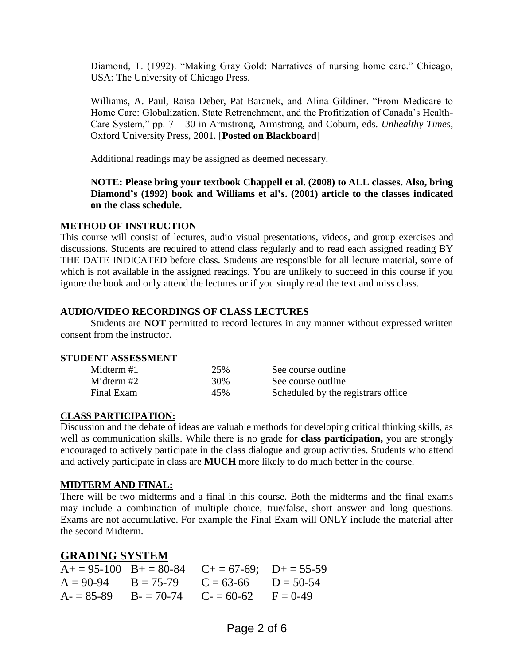Diamond, T. (1992). "Making Gray Gold: Narratives of nursing home care." Chicago, USA: The University of Chicago Press.

Williams, A. Paul, Raisa Deber, Pat Baranek, and Alina Gildiner. "From Medicare to Home Care: Globalization, State Retrenchment, and the Profitization of Canada's Health-Care System," pp. 7 – 30 in Armstrong, Armstrong, and Coburn, eds. *Unhealthy Times*, Oxford University Press, 2001. [**Posted on Blackboard**]

Additional readings may be assigned as deemed necessary.

**NOTE: Please bring your textbook Chappell et al. (2008) to ALL classes. Also, bring Diamond's (1992) book and Williams et al's. (2001) article to the classes indicated on the class schedule.** 

## **METHOD OF INSTRUCTION**

This course will consist of lectures, audio visual presentations, videos, and group exercises and discussions. Students are required to attend class regularly and to read each assigned reading BY THE DATE INDICATED before class. Students are responsible for all lecture material, some of which is not available in the assigned readings. You are unlikely to succeed in this course if you ignore the book and only attend the lectures or if you simply read the text and miss class.

## **AUDIO/VIDEO RECORDINGS OF CLASS LECTURES**

Students are **NOT** permitted to record lectures in any manner without expressed written consent from the instructor.

## **STUDENT ASSESSMENT**

| Midterm #1 | 25% | See course outline                 |
|------------|-----|------------------------------------|
| Midterm #2 | 30% | See course outline                 |
| Final Exam | 45% | Scheduled by the registrars office |

## **CLASS PARTICIPATION:**

Discussion and the debate of ideas are valuable methods for developing critical thinking skills, as well as communication skills. While there is no grade for **class participation,** you are strongly encouraged to actively participate in the class dialogue and group activities. Students who attend and actively participate in class are **MUCH** more likely to do much better in the course.

#### **MIDTERM AND FINAL:**

There will be two midterms and a final in this course. Both the midterms and the final exams may include a combination of multiple choice, true/false, short answer and long questions. Exams are not accumulative. For example the Final Exam will ONLY include the material after the second Midterm.

## **GRADING SYSTEM**

|  | $A+ = 95-100$ $B+ = 80-84$ $C+ = 67-69$ ; $D+ = 55-59$ |  |
|--|--------------------------------------------------------|--|
|  | $A = 90-94$ $B = 75-79$ $C = 63-66$ $D = 50-54$        |  |
|  | $A = 85-89$ $B = 70-74$ $C = 60-62$ $F = 0-49$         |  |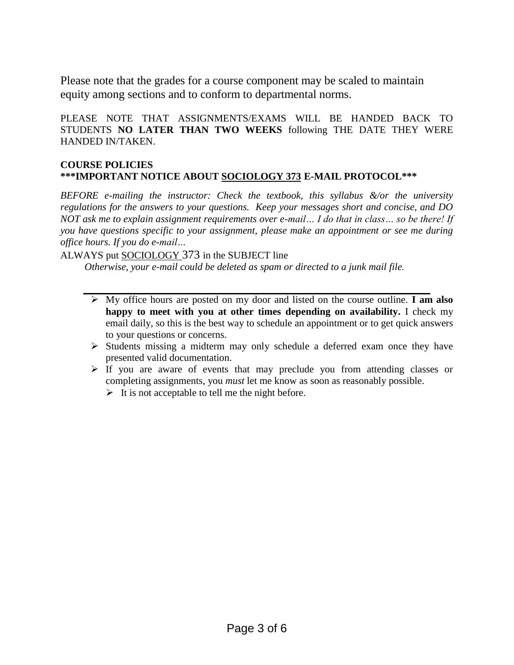Please note that the grades for a course component may be scaled to maintain equity among sections and to conform to departmental norms.

PLEASE NOTE THAT ASSIGNMENTS/EXAMS WILL BE HANDED BACK TO STUDENTS **NO LATER THAN TWO WEEKS** following THE DATE THEY WERE HANDED IN/TAKEN.

#### **COURSE POLICIES \*\*\*IMPORTANT NOTICE ABOUT SOCIOLOGY 373 E-MAIL PROTOCOL\*\*\***

*BEFORE e-mailing the instructor: Check the textbook, this syllabus &/or the university regulations for the answers to your questions. Keep your messages short and concise, and DO NOT ask me to explain assignment requirements over e-mail… I do that in class… so be there! If you have questions specific to your assignment, please make an appointment or see me during office hours. If you do e-mail…*

ALWAYS put SOCIOLOGY 373 in the SUBJECT line

*Otherwise, your e-mail could be deleted as spam or directed to a junk mail file.*

- My office hours are posted on my door and listed on the course outline. **I am also happy to meet with you at other times depending on availability.** I check my email daily, so this is the best way to schedule an appointment or to get quick answers to your questions or concerns.
- $\triangleright$  Students missing a midterm may only schedule a deferred exam once they have presented valid documentation.
- $\triangleright$  If you are aware of events that may preclude you from attending classes or completing assignments, you *must* let me know as soon as reasonably possible.
	- $\triangleright$  It is not acceptable to tell me the night before.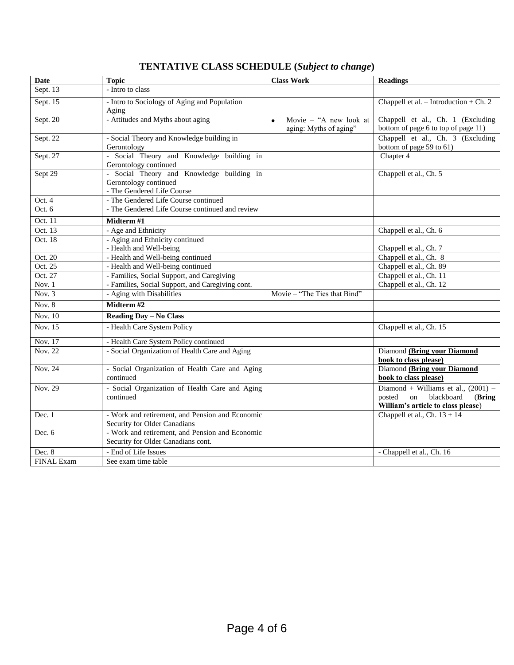|  | <b>TENTATIVE CLASS SCHEDULE (Subject to change)</b> |  |
|--|-----------------------------------------------------|--|
|--|-----------------------------------------------------|--|

| <b>Date</b>       | <b>Topic</b>                                                                                     | <b>Class Work</b>                                             | <b>Readings</b>                                                                                                     |
|-------------------|--------------------------------------------------------------------------------------------------|---------------------------------------------------------------|---------------------------------------------------------------------------------------------------------------------|
| Sept. 13          | - Intro to class                                                                                 |                                                               |                                                                                                                     |
| Sept. 15          | - Intro to Sociology of Aging and Population<br>Aging                                            |                                                               | Chappell et al. $-$ Introduction $+$ Ch. 2                                                                          |
| Sept. 20          | - Attitudes and Myths about aging                                                                | Movie - "A new look at<br>$\bullet$<br>aging: Myths of aging" | Chappell et al., Ch. 1 (Excluding<br>bottom of page 6 to top of page 11)                                            |
| Sept. 22          | - Social Theory and Knowledge building in<br>Gerontology                                         |                                                               | Chappell et al., Ch. 3 (Excluding<br>bottom of page 59 to 61)                                                       |
| Sept. 27          | - Social Theory and Knowledge building in<br>Gerontology continued                               |                                                               | Chapter 4                                                                                                           |
| Sept 29           | - Social Theory and Knowledge building in<br>Gerontology continued<br>- The Gendered Life Course |                                                               | Chappell et al., Ch. 5                                                                                              |
| Oct. 4            | - The Gendered Life Course continued                                                             |                                                               |                                                                                                                     |
| Oct. 6            | - The Gendered Life Course continued and review                                                  |                                                               |                                                                                                                     |
| Oct. 11           | Midterm #1                                                                                       |                                                               |                                                                                                                     |
| Oct. 13           | - Age and Ethnicity                                                                              |                                                               | Chappell et al., Ch. 6                                                                                              |
| Oct. 18           | - Aging and Ethnicity continued<br>- Health and Well-being                                       |                                                               | Chappell et al., Ch. 7                                                                                              |
| Oct. 20           | - Health and Well-being continued                                                                |                                                               | Chappell et al., Ch. 8                                                                                              |
| Oct. 25           | - Health and Well-being continued                                                                |                                                               | Chappell et al., Ch. 89                                                                                             |
| Oct. 27           | - Families, Social Support, and Caregiving                                                       |                                                               | Chappell et al., Ch. 11                                                                                             |
| Nov. $1$          | - Families, Social Support, and Caregiving cont.                                                 |                                                               | Chappell et al., Ch. 12                                                                                             |
| Nov. 3            | - Aging with Disabilities                                                                        | Movie - "The Ties that Bind"                                  |                                                                                                                     |
| Nov. $8$          | Midterm#2                                                                                        |                                                               |                                                                                                                     |
| Nov. 10           | <b>Reading Day - No Class</b>                                                                    |                                                               |                                                                                                                     |
| <b>Nov. 15</b>    | - Health Care System Policy                                                                      |                                                               | Chappell et al., Ch. 15                                                                                             |
| Nov. 17           | - Health Care System Policy continued                                                            |                                                               |                                                                                                                     |
| <b>Nov. 22</b>    | - Social Organization of Health Care and Aging                                                   |                                                               | Diamond (Bring your Diamond<br>book to class please)                                                                |
| Nov. 24           | - Social Organization of Health Care and Aging<br>continued                                      |                                                               | Diamond (Bring your Diamond<br>book to class please)                                                                |
| Nov. 29           | - Social Organization of Health Care and Aging<br>continued                                      |                                                               | Diamond + Williams et al., $(2001)$ –<br>posted<br>blackboard<br>(Bring<br>on<br>William's article to class please) |
| Dec. 1            | - Work and retirement, and Pension and Economic<br>Security for Older Canadians                  |                                                               | Chappell et al., Ch. $13 + 14$                                                                                      |
| Dec. $6$          | - Work and retirement, and Pension and Economic<br>Security for Older Canadians cont.            |                                                               |                                                                                                                     |
| Dec. 8            | - End of Life Issues                                                                             |                                                               | - Chappell et al., Ch. 16                                                                                           |
| <b>FINAL Exam</b> | See exam time table                                                                              |                                                               |                                                                                                                     |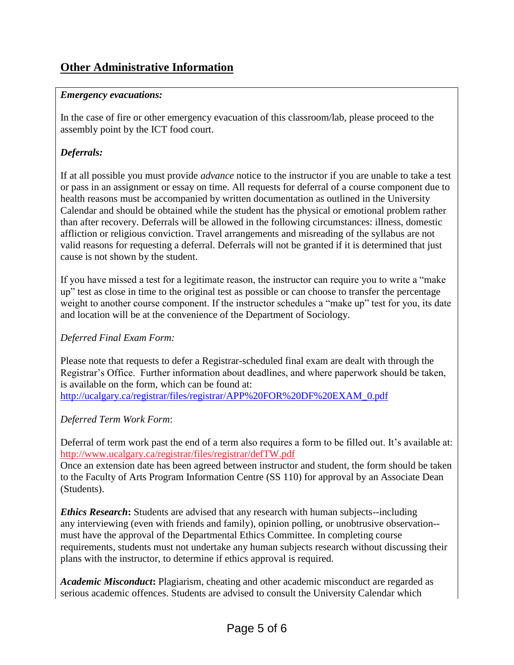## *Emergency evacuations:*

In the case of fire or other emergency evacuation of this classroom/lab, please proceed to the assembly point by the ICT food court.

## *Deferrals:*

If at all possible you must provide *advance* notice to the instructor if you are unable to take a test or pass in an assignment or essay on time. All requests for deferral of a course component due to health reasons must be accompanied by written documentation as outlined in the University Calendar and should be obtained while the student has the physical or emotional problem rather than after recovery. Deferrals will be allowed in the following circumstances: illness, domestic affliction or religious conviction. Travel arrangements and misreading of the syllabus are not valid reasons for requesting a deferral. Deferrals will not be granted if it is determined that just cause is not shown by the student.

If you have missed a test for a legitimate reason, the instructor can require you to write a "make up" test as close in time to the original test as possible or can choose to transfer the percentage weight to another course component. If the instructor schedules a "make up" test for you, its date and location will be at the convenience of the Department of Sociology.

## *Deferred Final Exam Form:*

Please note that requests to defer a Registrar-scheduled final exam are dealt with through the Registrar's Office. Further information about deadlines, and where paperwork should be taken, is available on the form, which can be found at: [http://ucalgary.ca/registrar/files/registrar/APP%20FOR%20DF%20EXAM\\_0.pdf](http://ucalgary.ca/registrar/files/registrar/APP%20FOR%20DF%20EXAM_0.pdf)

## *Deferred Term Work Form*:

Deferral of term work past the end of a term also requires a form to be filled out. It's available at: <http://www.ucalgary.ca/registrar/files/registrar/defTW.pdf>

Once an extension date has been agreed between instructor and student, the form should be taken to the Faculty of Arts Program Information Centre (SS 110) for approval by an Associate Dean (Students).

*Ethics Research***:** Students are advised that any research with human subjects--including any interviewing (even with friends and family), opinion polling, or unobtrusive observation- must have the approval of the Departmental Ethics Committee. In completing course requirements, students must not undertake any human subjects research without discussing their plans with the instructor, to determine if ethics approval is required.

*Academic Misconduct***:** Plagiarism, cheating and other academic misconduct are regarded as serious academic offences. Students are advised to consult the University Calendar which